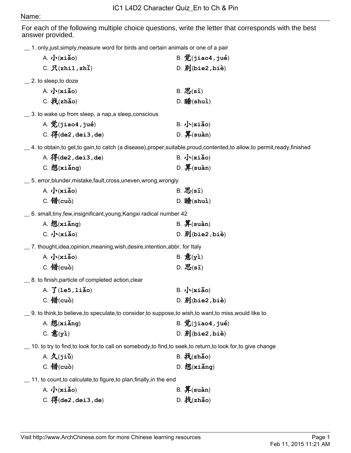## Name:

For each of the following multiple choice questions, write the letter that corresponds with the best answer provided.

\_\_ 1. only,just,simply,measure word for birds and certain animals or one of a pair

|                                                                            | $A. \sqrt{\mathbf{x} \cdot \mathbf{a}}$                                                                                 |  | $B.$ $\mathcal{D}(j$ iao4, $j$ ué)         |  |
|----------------------------------------------------------------------------|-------------------------------------------------------------------------------------------------------------------------|--|--------------------------------------------|--|
|                                                                            | C. R(zhi1, zh1)                                                                                                         |  | $D.$ $\vec{J}$ (bie2, bie)                 |  |
|                                                                            | $\_\_$ 2. to sleep,to doze                                                                                              |  |                                            |  |
|                                                                            | $A. \sqrt{\mathbf{x} \cdot \mathbf{a}}$                                                                                 |  | $B. \n{\mathcal{B}}(\mathbf{s}\mathbf{I})$ |  |
|                                                                            | $C.$ 找(zhǎo)                                                                                                            |  | $D.  H$ $B$ $($ shuì $)$                   |  |
|                                                                            | 5. S. to wake up from sleep, a nap, a sleep, conscious                                                                  |  |                                            |  |
|                                                                            | A. $\hat{\mathcal{V}}$ (jiao4, jué)                                                                                     |  | $B. \sqrt{\mathbf{x} i \mathbf{a}}$ o)     |  |
|                                                                            | C. $\mathcal{F}_1$ (de2, dei3, de)                                                                                      |  | D. $$$ (suàn)                              |  |
|                                                                            | $\_$ 4. to obtain,to get,to gain,to catch (a disease),proper,suitable,proud,contented,to allow,to permit,ready,finished |  |                                            |  |
|                                                                            | A. $\mathcal{F}_1$ (de2, dei3, de)                                                                                      |  | $B. \sqrt{\mathbf{x} \cdot \mathbf{a}}$    |  |
|                                                                            | $C.$ 想 $(x$ iǎng)                                                                                                       |  | $D.$ 算(suàn)                               |  |
|                                                                            |                                                                                                                         |  |                                            |  |
|                                                                            | A. $\sqrt{\cdot}$ (xiǎo)                                                                                                |  | $B.$ $\mathcal{B}(s\bar{1})$               |  |
|                                                                            | $C.$ 错 $(cub)$                                                                                                          |  | $D. \mathbf{H}(\text{shu})$                |  |
|                                                                            | 6. small, tiny, few, insignificant, young, Kangxi radical number 42                                                     |  |                                            |  |
|                                                                            | $A.$ 想 $(x_i)$                                                                                                          |  | $B.$ $I\!\!\!\!/$ (suàn)                   |  |
|                                                                            | $C. \sqrt{\mathbf{x} \cdot \mathbf{a}}$                                                                                 |  | $D.$ $\vec{J}$ (bie2, bie)                 |  |
| $\_$ 7. thought,idea,opinion,meaning,wish,desire,intention,abbr. for Italy |                                                                                                                         |  |                                            |  |
|                                                                            | A. $\sqrt{\cdot}$ (xiǎo)                                                                                                |  | $B.$ 意 $(yi)$                              |  |
|                                                                            | $C.$ 错 $(cub)$                                                                                                          |  | $D. \n{\mathcal{B}}(\mathbf{s}\mathbf{I})$ |  |
|                                                                            | _ 8. to finish, particle of completed action, clear                                                                     |  |                                            |  |
|                                                                            | A. $\mathfrak{J}$ (1e5, 1iǎo)                                                                                           |  | $B. \sqrt{\mathbf{x} i \mathbf{a}}$ o)     |  |
|                                                                            | $C.$ 错 $(cub)$                                                                                                          |  | $D. \nexists J(bie2,bie)$                  |  |
|                                                                            | 9. to think, to believe, to speculate, to consider, to suppose, to wish, to want, to miss, would like to                |  |                                            |  |
|                                                                            | $A.$ 想 $(x_i)$                                                                                                          |  | $B.$ $\cal{D}($ jiao4, jué)                |  |
|                                                                            | C. 意 $(y)$                                                                                                              |  | $D.$ 别(bie2,biè)                           |  |
|                                                                            | 10. to try to find, to look for, to call on somebody, to find, to seek, to return, to look for, to give change          |  |                                            |  |
|                                                                            | $A. \nightharpoonup (jii)$                                                                                              |  | $B.$ 找(zhǎo)                               |  |
|                                                                            | $C.$ 错 $(cub)$                                                                                                          |  | $D.$ 想 $(x$ iǎng)                          |  |
|                                                                            |                                                                                                                         |  |                                            |  |

\_\_ 11. to count,to calculate,to figure,to plan,finally,in the end

| $A. \sqrt{\mathbf{x}_1 \mathbf{a}_0}$ | $B. \nightharpoondown E(\text{suàn})$ |
|---------------------------------------|---------------------------------------|
| C. $\mathcal{F}$ (de2, dei3, de)      | D. 找(zhǎo)                            |